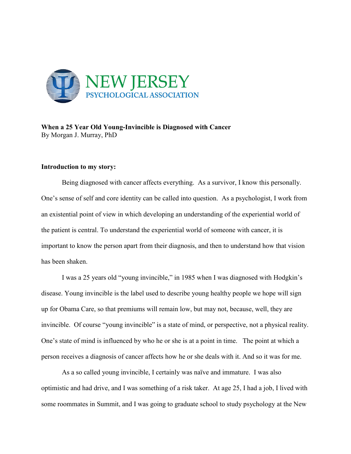

# **When a 25 Year Old Young-Invincible is Diagnosed with Cancer** By Morgan J. Murray, PhD

### **Introduction to my story:**

Being diagnosed with cancer affects everything. As a survivor, I know this personally. One's sense of self and core identity can be called into question. As a psychologist, I work from an existential point of view in which developing an understanding of the experiential world of the patient is central. To understand the experiential world of someone with cancer, it is important to know the person apart from their diagnosis, and then to understand how that vision has been shaken.

I was a 25 years old "young invincible," in 1985 when I was diagnosed with Hodgkin's disease. Young invincible is the label used to describe young healthy people we hope will sign up for Obama Care, so that premiums will remain low, but may not, because, well, they are invincible. Of course "young invincible" is a state of mind, or perspective, not a physical reality. One's state of mind is influenced by who he or she is at a point in time. The point at which a person receives a diagnosis of cancer affects how he or she deals with it. And so it was for me.

As a so called young invincible, I certainly was naïve and immature. I was also optimistic and had drive, and I was something of a risk taker. At age 25, I had a job, I lived with some roommates in Summit, and I was going to graduate school to study psychology at the New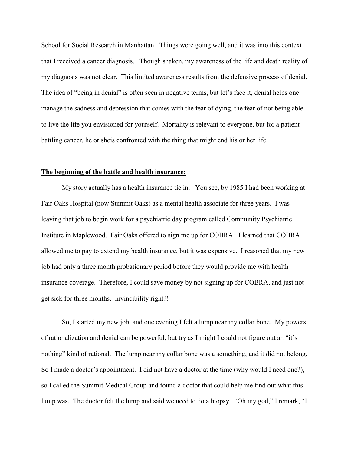School for Social Research in Manhattan. Things were going well, and it was into this context that I received a cancer diagnosis. Though shaken, my awareness of the life and death reality of my diagnosis was not clear. This limited awareness results from the defensive process of denial. The idea of "being in denial" is often seen in negative terms, but let's face it, denial helps one manage the sadness and depression that comes with the fear of dying, the fear of not being able to live the life you envisioned for yourself. Mortality is relevant to everyone, but for a patient battling cancer, he or sheis confronted with the thing that might end his or her life.

### **The beginning of the battle and health insurance:**

My story actually has a health insurance tie in. You see, by 1985 I had been working at Fair Oaks Hospital (now Summit Oaks) as a mental health associate for three years. I was leaving that job to begin work for a psychiatric day program called Community Psychiatric Institute in Maplewood. Fair Oaks offered to sign me up for COBRA. I learned that COBRA allowed me to pay to extend my health insurance, but it was expensive. I reasoned that my new job had only a three month probationary period before they would provide me with health insurance coverage. Therefore, I could save money by not signing up for COBRA, and just not get sick for three months. Invincibility right?!

So, I started my new job, and one evening I felt a lump near my collar bone. My powers of rationalization and denial can be powerful, but try as I might I could not figure out an "it's nothing" kind of rational. The lump near my collar bone was a something, and it did not belong. So I made a doctor's appointment. I did not have a doctor at the time (why would I need one?), so I called the Summit Medical Group and found a doctor that could help me find out what this lump was. The doctor felt the lump and said we need to do a biopsy. "Oh my god," I remark, "I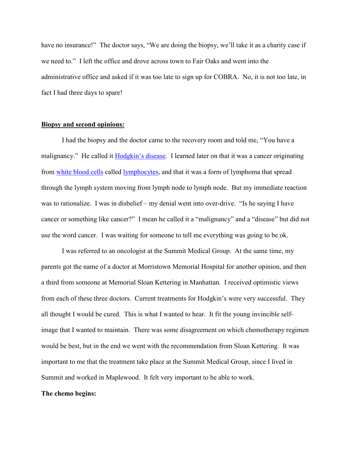have no insurance!" The doctor says, "We are doing the biopsy, we'll take it as a charity case if we need to." I left the office and drove across town to Fair Oaks and went into the administrative office and asked if it was too late to sign up for COBRA. No, it is not too late, in fact I had three days to spare!

## **Biopsy and second opinions:**

I had the biopsy and the doctor came to the recovery room and told me, "You have a malignancy." He called it **Hodgkin's disease**. I learned later on that it was a cancer originating from [white blood cells](http://en.wikipedia.org/wiki/White_blood_cell) called [lymphocytes,](http://en.wikipedia.org/wiki/Lymphocyte) and that it was a form of lymphoma that spread through the lymph system moving from lymph node to lymph node. But my immediate reaction was to rationalize. I was in disbelief – my denial went into over-drive. "Is he saying I have cancer or something like cancer?" I mean he called it a "malignancy" and a "disease" but did not use the word cancer. I was waiting for someone to tell me everything was going to be ok.

I was referred to an oncologist at the Summit Medical Group. At the same time, my parents got the name of a doctor at Morristown Memorial Hospital for another opinion, and then a third from someone at Memorial Sloan Kettering in Manhattan. I received optimistic views from each of these three doctors. Current treatments for Hodgkin's were very successful. They all thought I would be cured. This is what I wanted to hear. It fit the young invincible selfimage that I wanted to maintain. There was some disagreement on which chemotherapy regimen would be best, but in the end we went with the recommendation from Sloan Kettering. It was important to me that the treatment take place at the Summit Medical Group, since I lived in Summit and worked in Maplewood. It felt very important to be able to work.

#### **The chemo begins:**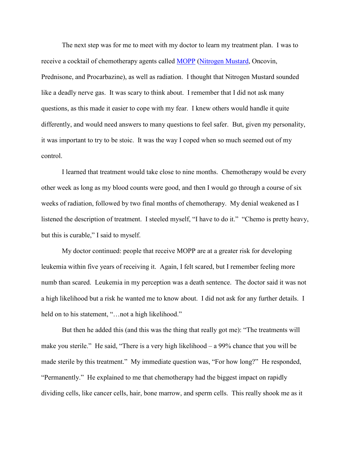The next step was for me to meet with my doctor to learn my treatment plan. I was to receive a cocktail of chemotherapy agents called [MOPP](https://en.wikipedia.org/wiki/MOPP_%28chemotherapy%29) [\(Nitrogen Mustard,](https://en.wikipedia.org/wiki/Nitrogen_mustard) Oncovin, Prednisone, and Procarbazine), as well as radiation. I thought that Nitrogen Mustard sounded like a deadly nerve gas. It was scary to think about. I remember that I did not ask many questions, as this made it easier to cope with my fear. I knew others would handle it quite differently, and would need answers to many questions to feel safer. But, given my personality, it was important to try to be stoic. It was the way I coped when so much seemed out of my control.

I learned that treatment would take close to nine months. Chemotherapy would be every other week as long as my blood counts were good, and then I would go through a course of six weeks of radiation, followed by two final months of chemotherapy. My denial weakened as I listened the description of treatment. I steeled myself, "I have to do it." "Chemo is pretty heavy, but this is curable," I said to myself.

My doctor continued: people that receive MOPP are at a greater risk for developing leukemia within five years of receiving it. Again, I felt scared, but I remember feeling more numb than scared. Leukemia in my perception was a death sentence. The doctor said it was not a high likelihood but a risk he wanted me to know about. I did not ask for any further details. I held on to his statement, "...not a high likelihood."

But then he added this (and this was the thing that really got me): "The treatments will make you sterile." He said, "There is a very high likelihood – a 99% chance that you will be made sterile by this treatment." My immediate question was, "For how long?" He responded, "Permanently." He explained to me that chemotherapy had the biggest impact on rapidly dividing cells, like cancer cells, hair, bone marrow, and sperm cells. This really shook me as it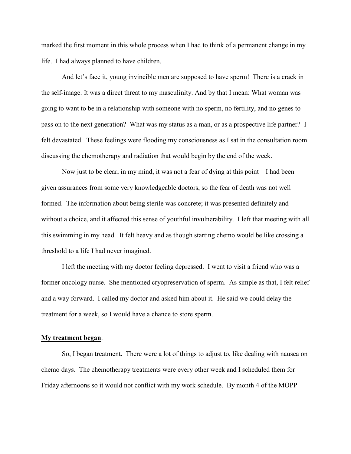marked the first moment in this whole process when I had to think of a permanent change in my life. I had always planned to have children.

And let's face it, young invincible men are supposed to have sperm! There is a crack in the self-image. It was a direct threat to my masculinity. And by that I mean: What woman was going to want to be in a relationship with someone with no sperm, no fertility, and no genes to pass on to the next generation? What was my status as a man, or as a prospective life partner? I felt devastated. These feelings were flooding my consciousness as I sat in the consultation room discussing the chemotherapy and radiation that would begin by the end of the week.

Now just to be clear, in my mind, it was not a fear of dying at this point – I had been given assurances from some very knowledgeable doctors, so the fear of death was not well formed. The information about being sterile was concrete; it was presented definitely and without a choice, and it affected this sense of youthful invulnerability. I left that meeting with all this swimming in my head. It felt heavy and as though starting chemo would be like crossing a threshold to a life I had never imagined.

I left the meeting with my doctor feeling depressed. I went to visit a friend who was a former oncology nurse. She mentioned cryopreservation of sperm. As simple as that, I felt relief and a way forward. I called my doctor and asked him about it. He said we could delay the treatment for a week, so I would have a chance to store sperm.

### **My treatment began**.

So, I began treatment. There were a lot of things to adjust to, like dealing with nausea on chemo days. The chemotherapy treatments were every other week and I scheduled them for Friday afternoons so it would not conflict with my work schedule. By month 4 of the MOPP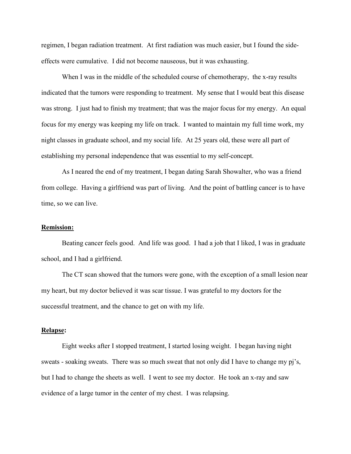regimen, I began radiation treatment. At first radiation was much easier, but I found the sideeffects were cumulative. I did not become nauseous, but it was exhausting.

When I was in the middle of the scheduled course of chemotherapy, the x-ray results indicated that the tumors were responding to treatment. My sense that I would beat this disease was strong. I just had to finish my treatment; that was the major focus for my energy. An equal focus for my energy was keeping my life on track. I wanted to maintain my full time work, my night classes in graduate school, and my social life. At 25 years old, these were all part of establishing my personal independence that was essential to my self-concept.

As I neared the end of my treatment, I began dating Sarah Showalter, who was a friend from college. Having a girlfriend was part of living. And the point of battling cancer is to have time, so we can live.

### **Remission:**

Beating cancer feels good. And life was good. I had a job that I liked, I was in graduate school, and I had a girlfriend.

The CT scan showed that the tumors were gone, with the exception of a small lesion near my heart, but my doctor believed it was scar tissue. I was grateful to my doctors for the successful treatment, and the chance to get on with my life.

#### **Relapse:**

Eight weeks after I stopped treatment, I started losing weight. I began having night sweats - soaking sweats. There was so much sweat that not only did I have to change my pj's, but I had to change the sheets as well. I went to see my doctor. He took an x-ray and saw evidence of a large tumor in the center of my chest. I was relapsing.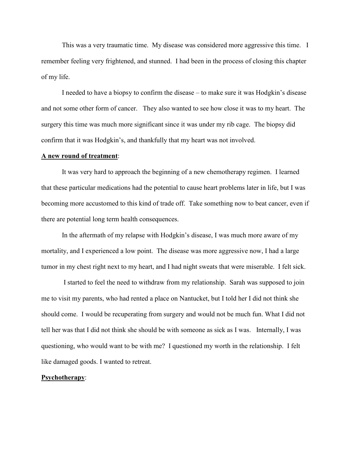This was a very traumatic time. My disease was considered more aggressive this time. I remember feeling very frightened, and stunned. I had been in the process of closing this chapter of my life.

I needed to have a biopsy to confirm the disease – to make sure it was Hodgkin's disease and not some other form of cancer. They also wanted to see how close it was to my heart. The surgery this time was much more significant since it was under my rib cage. The biopsy did confirm that it was Hodgkin's, and thankfully that my heart was not involved.

### **A new round of treatment**:

It was very hard to approach the beginning of a new chemotherapy regimen. I learned that these particular medications had the potential to cause heart problems later in life, but I was becoming more accustomed to this kind of trade off. Take something now to beat cancer, even if there are potential long term health consequences.

In the aftermath of my relapse with Hodgkin's disease, I was much more aware of my mortality, and I experienced a low point. The disease was more aggressive now, I had a large tumor in my chest right next to my heart, and I had night sweats that were miserable. I felt sick.

I started to feel the need to withdraw from my relationship. Sarah was supposed to join me to visit my parents, who had rented a place on Nantucket, but I told her I did not think she should come. I would be recuperating from surgery and would not be much fun. What I did not tell her was that I did not think she should be with someone as sick as I was. Internally, I was questioning, who would want to be with me? I questioned my worth in the relationship. I felt like damaged goods. I wanted to retreat.

#### **Psychotherapy**: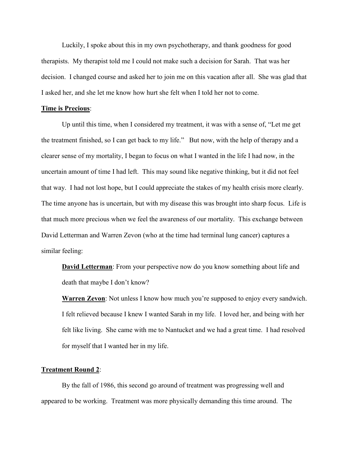Luckily, I spoke about this in my own psychotherapy, and thank goodness for good therapists. My therapist told me I could not make such a decision for Sarah. That was her decision. I changed course and asked her to join me on this vacation after all. She was glad that I asked her, and she let me know how hurt she felt when I told her not to come.

# **Time is Precious**:

Up until this time, when I considered my treatment, it was with a sense of, "Let me get the treatment finished, so I can get back to my life." But now, with the help of therapy and a clearer sense of my mortality, I began to focus on what I wanted in the life I had now, in the uncertain amount of time I had left. This may sound like negative thinking, but it did not feel that way. I had not lost hope, but I could appreciate the stakes of my health crisis more clearly. The time anyone has is uncertain, but with my disease this was brought into sharp focus. Life is that much more precious when we feel the awareness of our mortality. This exchange between David Letterman and Warren Zevon (who at the time had terminal lung cancer) captures a similar feeling:

**David Letterman**: From your perspective now do you know something about life and death that maybe I don't know?

**Warren Zevon**: Not unless I know how much you're supposed to enjoy every sandwich. I felt relieved because I knew I wanted Sarah in my life. I loved her, and being with her felt like living. She came with me to Nantucket and we had a great time. I had resolved for myself that I wanted her in my life.

### **Treatment Round 2**:

By the fall of 1986, this second go around of treatment was progressing well and appeared to be working. Treatment was more physically demanding this time around. The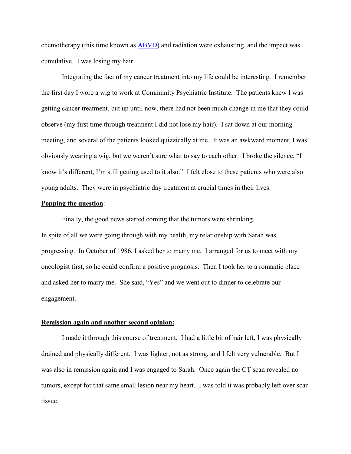chemotherapy (this time known as [ABVD\)](https://en.wikipedia.org/wiki/ABVD) and radiation were exhausting, and the impact was cumulative. I was losing my hair.

Integrating the fact of my cancer treatment into my life could be interesting. I remember the first day I wore a wig to work at Community Psychiatric Institute. The patients knew I was getting cancer treatment, but up until now, there had not been much change in me that they could observe (my first time through treatment I did not lose my hair). I sat down at our morning meeting, and several of the patients looked quizzically at me. It was an awkward moment, I was obviously wearing a wig, but we weren't sure what to say to each other. I broke the silence, "I know it's different, I'm still getting used to it also." I felt close to these patients who were also young adults. They were in psychiatric day treatment at crucial times in their lives.

### **Popping the question**:

Finally, the good news started coming that the tumors were shrinking. In spite of all we were going through with my health, my relationship with Sarah was progressing. In October of 1986, I asked her to marry me. I arranged for us to meet with my oncologist first, so he could confirm a positive prognosis. Then I took her to a romantic place and asked her to marry me. She said, "Yes" and we went out to dinner to celebrate our engagement.

#### **Remission again and another second opinion:**

I made it through this course of treatment. I had a little bit of hair left, I was physically drained and physically different. I was lighter, not as strong, and I felt very vulnerable. But I was also in remission again and I was engaged to Sarah. Once again the CT scan revealed no tumors, except for that same small lesion near my heart. I was told it was probably left over scar tissue.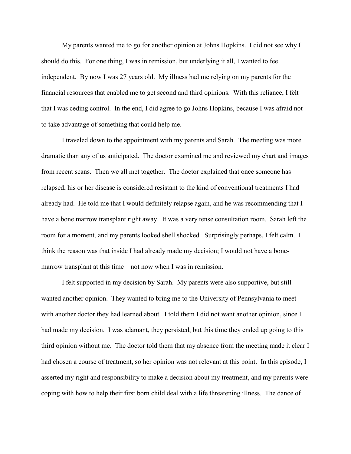My parents wanted me to go for another opinion at Johns Hopkins. I did not see why I should do this. For one thing, I was in remission, but underlying it all, I wanted to feel independent. By now I was 27 years old. My illness had me relying on my parents for the financial resources that enabled me to get second and third opinions. With this reliance, I felt that I was ceding control. In the end, I did agree to go Johns Hopkins, because I was afraid not to take advantage of something that could help me.

I traveled down to the appointment with my parents and Sarah. The meeting was more dramatic than any of us anticipated. The doctor examined me and reviewed my chart and images from recent scans. Then we all met together. The doctor explained that once someone has relapsed, his or her disease is considered resistant to the kind of conventional treatments I had already had. He told me that I would definitely relapse again, and he was recommending that I have a bone marrow transplant right away. It was a very tense consultation room. Sarah left the room for a moment, and my parents looked shell shocked. Surprisingly perhaps, I felt calm. I think the reason was that inside I had already made my decision; I would not have a bonemarrow transplant at this time – not now when I was in remission.

I felt supported in my decision by Sarah. My parents were also supportive, but still wanted another opinion. They wanted to bring me to the University of Pennsylvania to meet with another doctor they had learned about. I told them I did not want another opinion, since I had made my decision. I was adamant, they persisted, but this time they ended up going to this third opinion without me. The doctor told them that my absence from the meeting made it clear I had chosen a course of treatment, so her opinion was not relevant at this point. In this episode, I asserted my right and responsibility to make a decision about my treatment, and my parents were coping with how to help their first born child deal with a life threatening illness. The dance of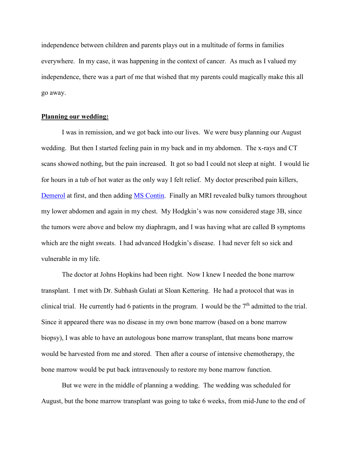independence between children and parents plays out in a multitude of forms in families everywhere. In my case, it was happening in the context of cancer. As much as I valued my independence, there was a part of me that wished that my parents could magically make this all go away.

### **Planning our wedding:**

I was in remission, and we got back into our lives. We were busy planning our August wedding. But then I started feeling pain in my back and in my abdomen. The x-rays and CT scans showed nothing, but the pain increased. It got so bad I could not sleep at night. I would lie for hours in a tub of hot water as the only way I felt relief. My doctor prescribed pain killers, [Demerol](http://medical-dictionary.thefreedictionary.com/Demerol) at first, and then adding [MS Contin.](https://en.wikipedia.org/wiki/Extended-release_morphine) Finally an MRI revealed bulky tumors throughout my lower abdomen and again in my chest. My Hodgkin's was now considered stage 3B, since the tumors were above and below my diaphragm, and I was having what are called B symptoms which are the night sweats. I had advanced Hodgkin's disease. I had never felt so sick and vulnerable in my life.

The doctor at Johns Hopkins had been right. Now I knew I needed the bone marrow transplant. I met with Dr. Subhash Gulati at Sloan Kettering. He had a protocol that was in clinical trial. He currently had 6 patients in the program. I would be the  $7<sup>th</sup>$  admitted to the trial. Since it appeared there was no disease in my own bone marrow (based on a bone marrow biopsy), I was able to have an autologous bone marrow transplant, that means bone marrow would be harvested from me and stored. Then after a course of intensive chemotherapy, the bone marrow would be put back intravenously to restore my bone marrow function.

But we were in the middle of planning a wedding. The wedding was scheduled for August, but the bone marrow transplant was going to take 6 weeks, from mid-June to the end of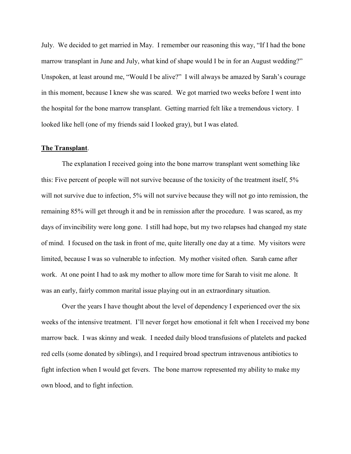July. We decided to get married in May. I remember our reasoning this way, "If I had the bone marrow transplant in June and July, what kind of shape would I be in for an August wedding?" Unspoken, at least around me, "Would I be alive?" I will always be amazed by Sarah's courage in this moment, because I knew she was scared. We got married two weeks before I went into the hospital for the bone marrow transplant. Getting married felt like a tremendous victory. I looked like hell (one of my friends said I looked gray), but I was elated.

### **The Transplant**.

The explanation I received going into the bone marrow transplant went something like this: Five percent of people will not survive because of the toxicity of the treatment itself, 5% will not survive due to infection, 5% will not survive because they will not go into remission, the remaining 85% will get through it and be in remission after the procedure. I was scared, as my days of invincibility were long gone. I still had hope, but my two relapses had changed my state of mind. I focused on the task in front of me, quite literally one day at a time. My visitors were limited, because I was so vulnerable to infection. My mother visited often. Sarah came after work. At one point I had to ask my mother to allow more time for Sarah to visit me alone. It was an early, fairly common marital issue playing out in an extraordinary situation.

Over the years I have thought about the level of dependency I experienced over the six weeks of the intensive treatment. I'll never forget how emotional it felt when I received my bone marrow back. I was skinny and weak. I needed daily blood transfusions of platelets and packed red cells (some donated by siblings), and I required broad spectrum intravenous antibiotics to fight infection when I would get fevers. The bone marrow represented my ability to make my own blood, and to fight infection.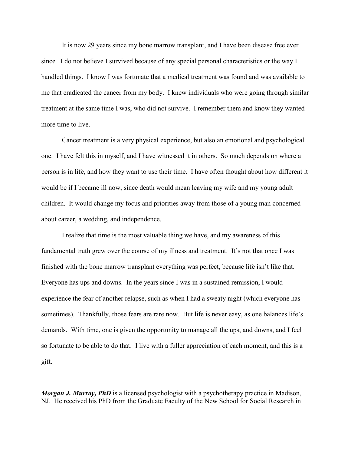It is now 29 years since my bone marrow transplant, and I have been disease free ever since. I do not believe I survived because of any special personal characteristics or the way I handled things. I know I was fortunate that a medical treatment was found and was available to me that eradicated the cancer from my body. I knew individuals who were going through similar treatment at the same time I was, who did not survive. I remember them and know they wanted more time to live.

Cancer treatment is a very physical experience, but also an emotional and psychological one. I have felt this in myself, and I have witnessed it in others. So much depends on where a person is in life, and how they want to use their time. I have often thought about how different it would be if I became ill now, since death would mean leaving my wife and my young adult children. It would change my focus and priorities away from those of a young man concerned about career, a wedding, and independence.

I realize that time is the most valuable thing we have, and my awareness of this fundamental truth grew over the course of my illness and treatment. It's not that once I was finished with the bone marrow transplant everything was perfect, because life isn't like that. Everyone has ups and downs. In the years since I was in a sustained remission, I would experience the fear of another relapse, such as when I had a sweaty night (which everyone has sometimes). Thankfully, those fears are rare now. But life is never easy, as one balances life's demands. With time, one is given the opportunity to manage all the ups, and downs, and I feel so fortunate to be able to do that. I live with a fuller appreciation of each moment, and this is a gift.

*Morgan J. Murray, PhD* is a licensed psychologist with a psychotherapy practice in Madison, NJ. He received his PhD from the Graduate Faculty of the New School for Social Research in